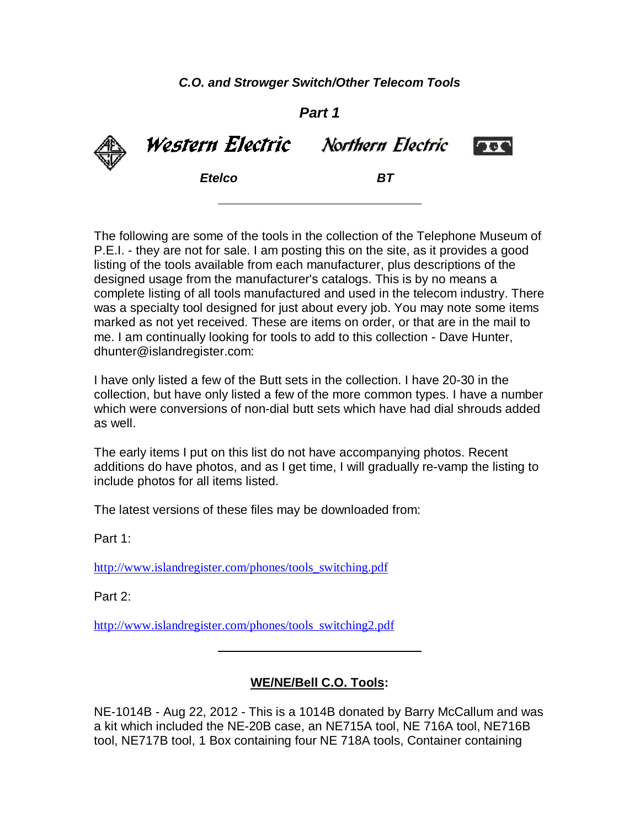*C.O. and Strowger Switch/Other Telecom Tools*

*Part 1*

Western Electric Northern Electric **Less** *Etelco BT*

The following are some of the tools in the collection of the Telephone Museum of P.E.I. - they are not for sale. I am posting this on the site, as it provides a good listing of the tools available from each manufacturer, plus descriptions of the designed usage from the manufacturer's catalogs. This is by no means a complete listing of all tools manufactured and used in the telecom industry. There was a specialty tool designed for just about every job. You may note some items marked as not yet received. These are items on order, or that are in the mail to me. I am continually looking for tools to add to this collection - Dave Hunter, dhunter@islandregister.com:

I have only listed a few of the Butt sets in the collection. I have 20-30 in the collection, but have only listed a few of the more common types. I have a number which were conversions of non-dial butt sets which have had dial shrouds added as well.

The early items I put on this list do not have accompanying photos. Recent additions do have photos, and as I get time, I will gradually re-vamp the listing to include photos for all items listed.

The latest versions of these files may be downloaded from:

Part 1:

http://www.islandregister.com/phones/tools\_switching.pdf

Part 2:

http://www.islandregister.com/phones/tools\_switching2.pdf

### **WE/NE/Bell C.O. Tools:**

NE-1014B - Aug 22, 2012 - This is a 1014B donated by Barry McCallum and was a kit which included the NE-20B case, an NE715A tool, NE 716A tool, NE716B tool, NE717B tool, 1 Box containing four NE 718A tools, Container containing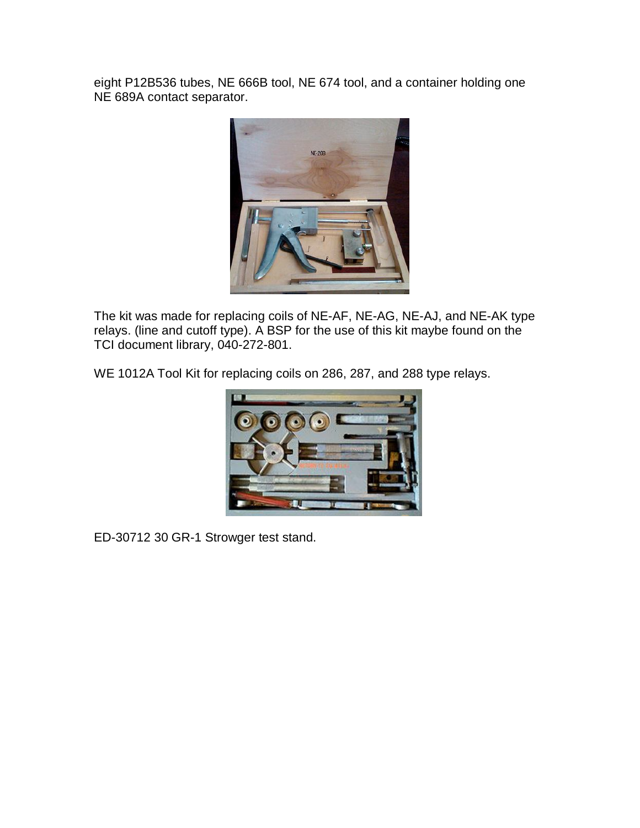eight P12B536 tubes, NE 666B tool, NE 674 tool, and a container holding one NE 689A contact separator.



The kit was made for replacing coils of NE-AF, NE-AG, NE-AJ, and NE-AK type relays. (line and cutoff type). A BSP for the use of this kit maybe found on the TCI document library, 040-272-801.

WE 1012A Tool Kit for replacing coils on 286, 287, and 288 type relays.



ED-30712 30 GR-1 Strowger test stand.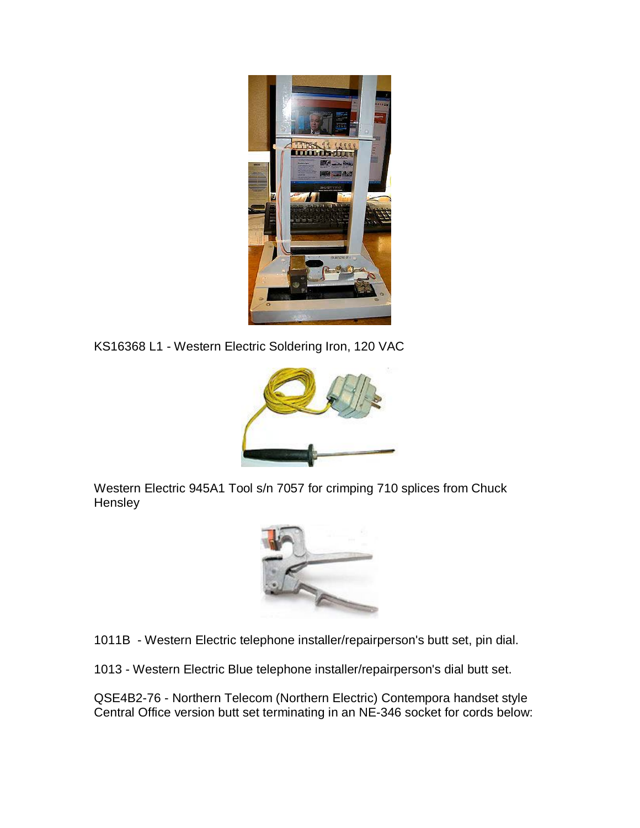

KS16368 L1 - Western Electric Soldering Iron, 120 VAC



Western Electric 945A1 Tool s/n 7057 for crimping 710 splices from Chuck Hensley



1011B - Western Electric telephone installer/repairperson's butt set, pin dial.

1013 - Western Electric Blue telephone installer/repairperson's dial butt set.

QSE4B2-76 - Northern Telecom (Northern Electric) Contempora handset style Central Office version butt set terminating in an NE-346 socket for cords below: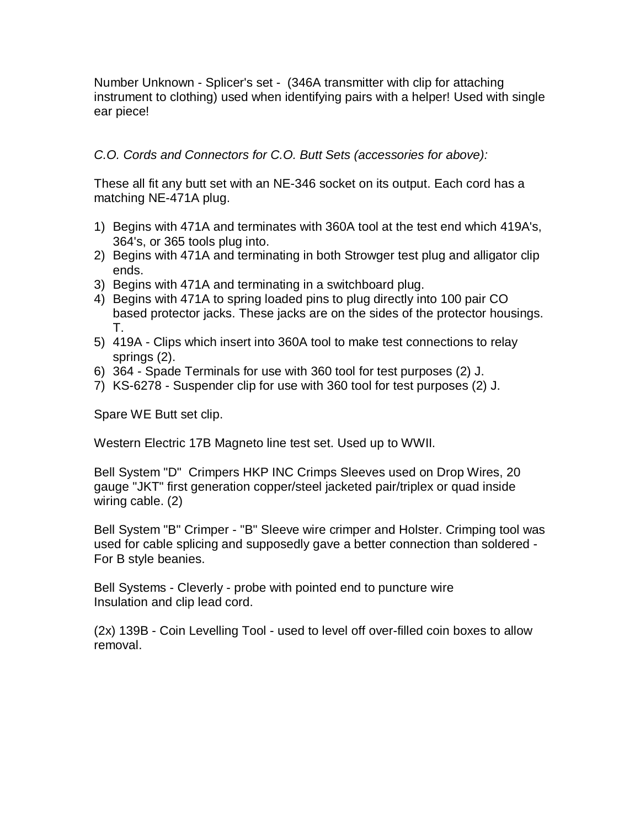Number Unknown - Splicer's set - (346A transmitter with clip for attaching instrument to clothing) used when identifying pairs with a helper! Used with single ear piece!

### *C.O. Cords and Connectors for C.O. Butt Sets (accessories for above):*

These all fit any butt set with an NE-346 socket on its output. Each cord has a matching NE-471A plug.

- 1) Begins with 471A and terminates with 360A tool at the test end which 419A's, 364's, or 365 tools plug into.
- 2) Begins with 471A and terminating in both Strowger test plug and alligator clip ends.
- 3) Begins with 471A and terminating in a switchboard plug.
- 4) Begins with 471A to spring loaded pins to plug directly into 100 pair CO based protector jacks. These jacks are on the sides of the protector housings. T.
- 5) 419A Clips which insert into 360A tool to make test connections to relay springs (2).
- 6) 364 Spade Terminals for use with 360 tool for test purposes (2) J.
- 7) KS-6278 Suspender clip for use with 360 tool for test purposes (2) J.

Spare WE Butt set clip.

Western Electric 17B Magneto line test set. Used up to WWII.

Bell System "D" Crimpers HKP INC Crimps Sleeves used on Drop Wires, 20 gauge "JKT" first generation copper/steel jacketed pair/triplex or quad inside wiring cable. (2)

Bell System "B" Crimper - "B" Sleeve wire crimper and Holster. Crimping tool was used for cable splicing and supposedly gave a better connection than soldered - For B style beanies.

Bell Systems - Cleverly - probe with pointed end to puncture wire Insulation and clip lead cord.

(2x) 139B - Coin Levelling Tool - used to level off over-filled coin boxes to allow removal.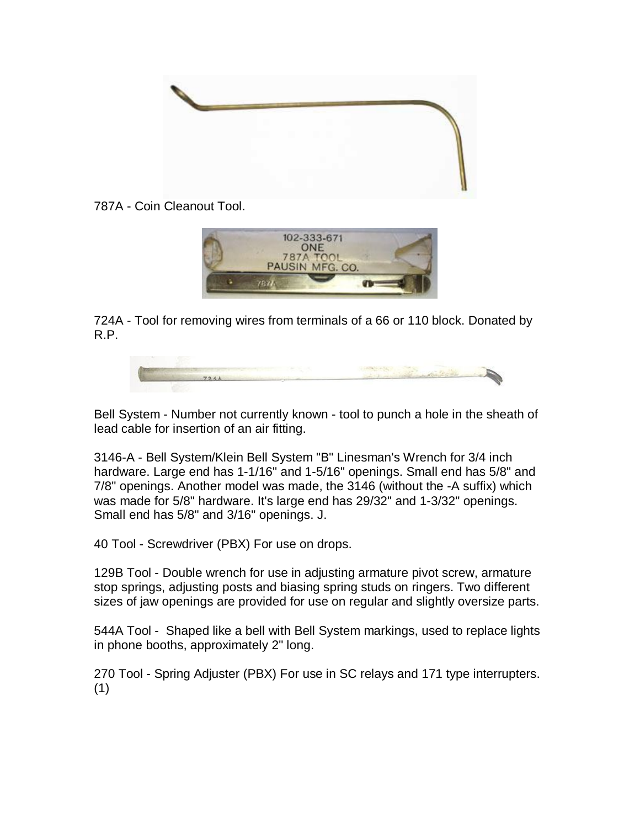

787A - Coin Cleanout Tool.



724A - Tool for removing wires from terminals of a 66 or 110 block. Donated by R.P.



Bell System - Number not currently known - tool to punch a hole in the sheath of lead cable for insertion of an air fitting.

3146-A - Bell System/Klein Bell System "B" Linesman's Wrench for 3/4 inch hardware. Large end has 1-1/16" and 1-5/16" openings. Small end has 5/8" and 7/8" openings. Another model was made, the 3146 (without the -A suffix) which was made for 5/8" hardware. It's large end has 29/32" and 1-3/32" openings. Small end has 5/8" and 3/16" openings. J.

40 Tool - Screwdriver (PBX) For use on drops.

129B Tool - Double wrench for use in adjusting armature pivot screw, armature stop springs, adjusting posts and biasing spring studs on ringers. Two different sizes of jaw openings are provided for use on regular and slightly oversize parts.

544A Tool - Shaped like a bell with Bell System markings, used to replace lights in phone booths, approximately 2" long.

270 Tool - Spring Adjuster (PBX) For use in SC relays and 171 type interrupters. (1)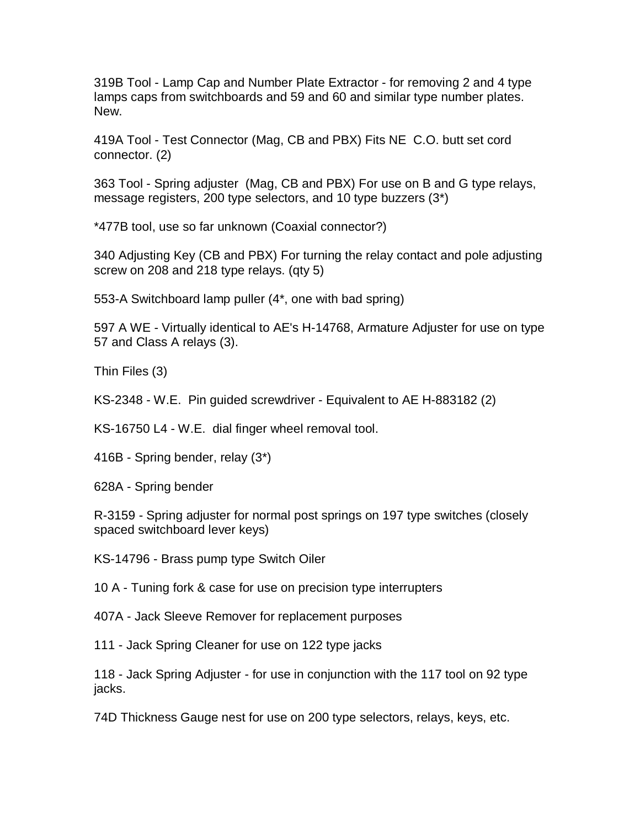319B Tool - Lamp Cap and Number Plate Extractor - for removing 2 and 4 type lamps caps from switchboards and 59 and 60 and similar type number plates. New.

419A Tool - Test Connector (Mag, CB and PBX) Fits NE C.O. butt set cord connector. (2)

363 Tool - Spring adjuster (Mag, CB and PBX) For use on B and G type relays, message registers, 200 type selectors, and 10 type buzzers (3\*)

\*477B tool, use so far unknown (Coaxial connector?)

340 Adjusting Key (CB and PBX) For turning the relay contact and pole adjusting screw on 208 and 218 type relays. (qty 5)

553-A Switchboard lamp puller (4\*, one with bad spring)

597 A WE - Virtually identical to AE's H-14768, Armature Adjuster for use on type 57 and Class A relays (3).

Thin Files (3)

KS-2348 - W.E. Pin guided screwdriver - Equivalent to AE H-883182 (2)

KS-16750 L4 - W.E. dial finger wheel removal tool.

416B - Spring bender, relay (3\*)

628A - Spring bender

R-3159 - Spring adjuster for normal post springs on 197 type switches (closely spaced switchboard lever keys)

KS-14796 - Brass pump type Switch Oiler

10 A - Tuning fork & case for use on precision type interrupters

407A - Jack Sleeve Remover for replacement purposes

111 - Jack Spring Cleaner for use on 122 type jacks

118 - Jack Spring Adjuster - for use in conjunction with the 117 tool on 92 type jacks.

74D Thickness Gauge nest for use on 200 type selectors, relays, keys, etc.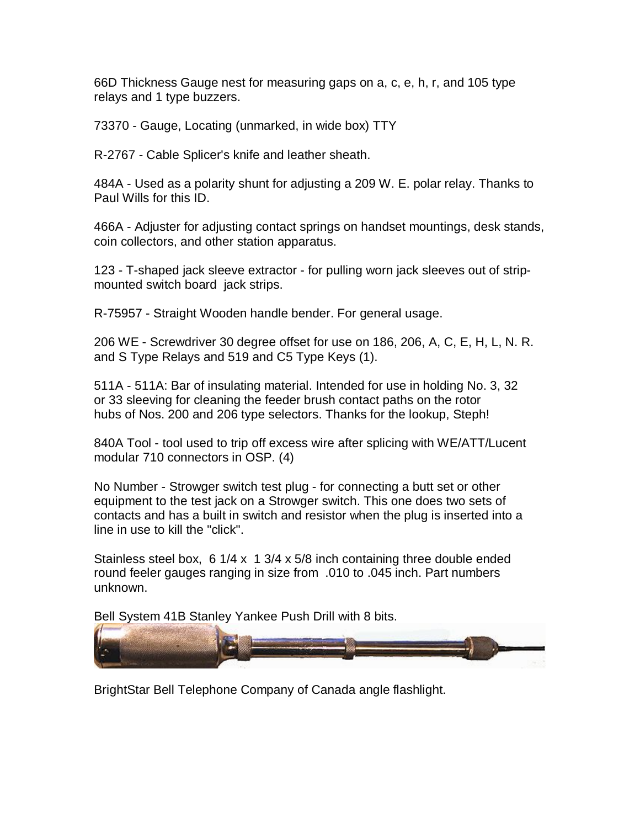66D Thickness Gauge nest for measuring gaps on a, c, e, h, r, and 105 type relays and 1 type buzzers.

73370 - Gauge, Locating (unmarked, in wide box) TTY

R-2767 - Cable Splicer's knife and leather sheath.

484A - Used as a polarity shunt for adjusting a 209 W. E. polar relay. Thanks to Paul Wills for this ID.

466A - Adjuster for adjusting contact springs on handset mountings, desk stands, coin collectors, and other station apparatus.

123 - T-shaped jack sleeve extractor - for pulling worn jack sleeves out of stripmounted switch board jack strips.

R-75957 - Straight Wooden handle bender. For general usage.

206 WE - Screwdriver 30 degree offset for use on 186, 206, A, C, E, H, L, N. R. and S Type Relays and 519 and C5 Type Keys (1).

511A - 511A: Bar of insulating material. Intended for use in holding No. 3, 32 or 33 sleeving for cleaning the feeder brush contact paths on the rotor hubs of Nos. 200 and 206 type selectors. Thanks for the lookup, Steph!

840A Tool - tool used to trip off excess wire after splicing with WE/ATT/Lucent modular 710 connectors in OSP. (4)

No Number - Strowger switch test plug - for connecting a butt set or other equipment to the test jack on a Strowger switch. This one does two sets of contacts and has a built in switch and resistor when the plug is inserted into a line in use to kill the "click".

Stainless steel box, 6 1/4 x 1 3/4 x 5/8 inch containing three double ended round feeler gauges ranging in size from .010 to .045 inch. Part numbers unknown.

Bell System 41B Stanley Yankee Push Drill with 8 bits.



BrightStar Bell Telephone Company of Canada angle flashlight.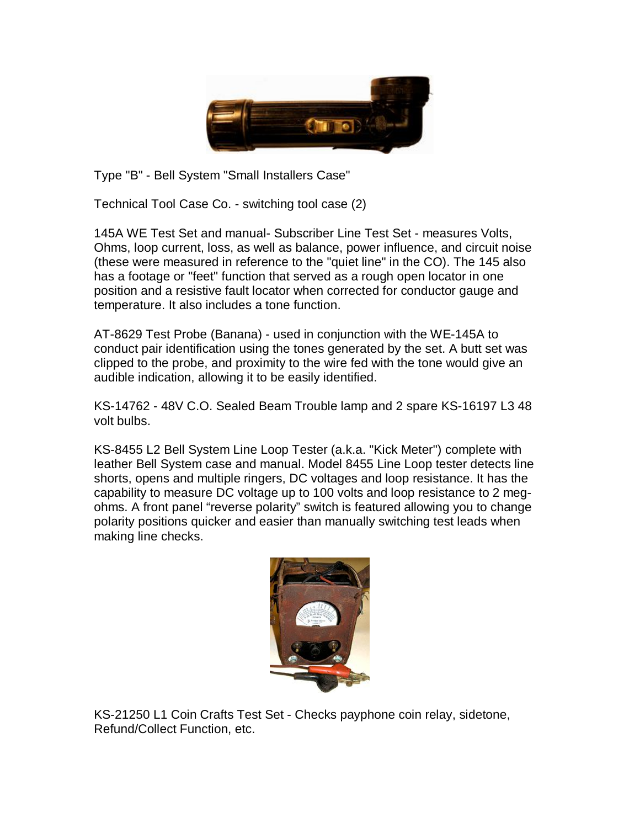

Type "B" - Bell System "Small Installers Case"

Technical Tool Case Co. - switching tool case (2)

145A WE Test Set and manual- Subscriber Line Test Set - measures Volts, Ohms, loop current, loss, as well as balance, power influence, and circuit noise (these were measured in reference to the "quiet line" in the CO). The 145 also has a footage or "feet" function that served as a rough open locator in one position and a resistive fault locator when corrected for conductor gauge and temperature. It also includes a tone function.

AT-8629 Test Probe (Banana) - used in conjunction with the WE-145A to conduct pair identification using the tones generated by the set. A butt set was clipped to the probe, and proximity to the wire fed with the tone would give an audible indication, allowing it to be easily identified.

KS-14762 - 48V C.O. Sealed Beam Trouble lamp and 2 spare KS-16197 L3 48 volt bulbs.

KS-8455 L2 Bell System Line Loop Tester (a.k.a. "Kick Meter") complete with leather Bell System case and manual. Model 8455 Line Loop tester detects line shorts, opens and multiple ringers, DC voltages and loop resistance. It has the capability to measure DC voltage up to 100 volts and loop resistance to 2 megohms. A front panel "reverse polarity" switch is featured allowing you to change polarity positions quicker and easier than manually switching test leads when making line checks.



KS-21250 L1 Coin Crafts Test Set - Checks payphone coin relay, sidetone, Refund/Collect Function, etc.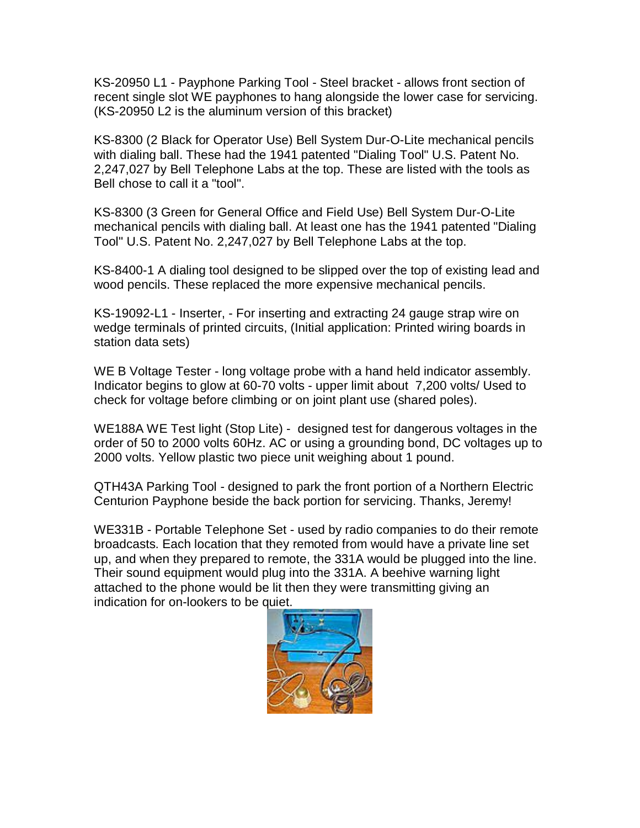KS-20950 L1 - Payphone Parking Tool - Steel bracket - allows front section of recent single slot WE payphones to hang alongside the lower case for servicing. (KS-20950 L2 is the aluminum version of this bracket)

KS-8300 (2 Black for Operator Use) Bell System Dur-O-Lite mechanical pencils with dialing ball. These had the 1941 patented "Dialing Tool" U.S. Patent No. 2,247,027 by Bell Telephone Labs at the top. These are listed with the tools as Bell chose to call it a "tool".

KS-8300 (3 Green for General Office and Field Use) Bell System Dur-O-Lite mechanical pencils with dialing ball. At least one has the 1941 patented "Dialing Tool" U.S. Patent No. 2,247,027 by Bell Telephone Labs at the top.

KS-8400-1 A dialing tool designed to be slipped over the top of existing lead and wood pencils. These replaced the more expensive mechanical pencils.

KS-19092-L1 - Inserter, - For inserting and extracting 24 gauge strap wire on wedge terminals of printed circuits, (Initial application: Printed wiring boards in station data sets)

WE B Voltage Tester - long voltage probe with a hand held indicator assembly. Indicator begins to glow at 60-70 volts - upper limit about 7,200 volts/ Used to check for voltage before climbing or on joint plant use (shared poles).

WE188A WE Test light (Stop Lite) - designed test for dangerous voltages in the order of 50 to 2000 volts 60Hz. AC or using a grounding bond, DC voltages up to 2000 volts. Yellow plastic two piece unit weighing about 1 pound.

QTH43A Parking Tool - designed to park the front portion of a Northern Electric Centurion Payphone beside the back portion for servicing. Thanks, Jeremy!

WE331B - Portable Telephone Set - used by radio companies to do their remote broadcasts. Each location that they remoted from would have a private line set up, and when they prepared to remote, the 331A would be plugged into the line. Their sound equipment would plug into the 331A. A beehive warning light attached to the phone would be lit then they were transmitting giving an indication for on-lookers to be quiet.

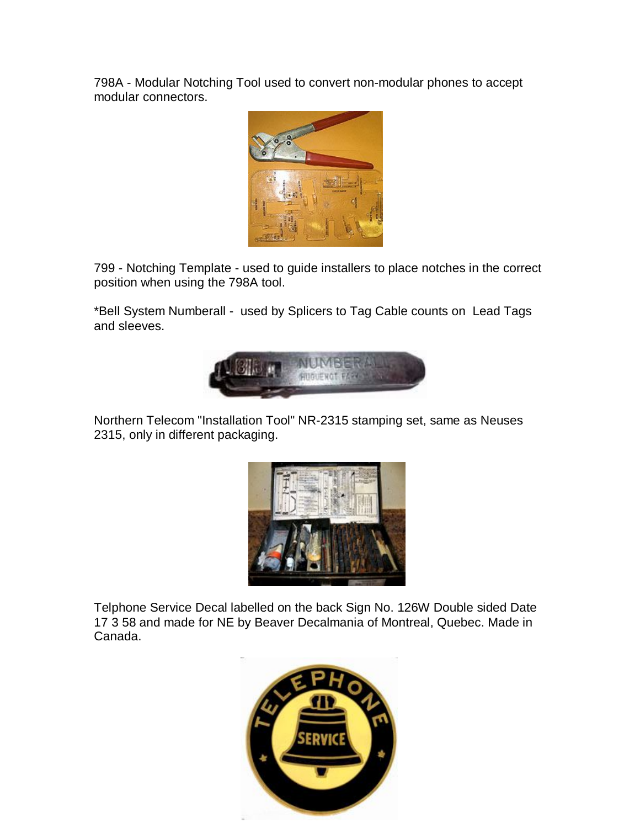798A - Modular Notching Tool used to convert non-modular phones to accept modular connectors.



799 - Notching Template - used to guide installers to place notches in the correct position when using the 798A tool.

\*Bell System Numberall - used by Splicers to Tag Cable counts on Lead Tags and sleeves.



Northern Telecom "Installation Tool" NR-2315 stamping set, same as Neuses 2315, only in different packaging.



Telphone Service Decal labelled on the back Sign No. 126W Double sided Date 17 3 58 and made for NE by Beaver Decalmania of Montreal, Quebec. Made in Canada.

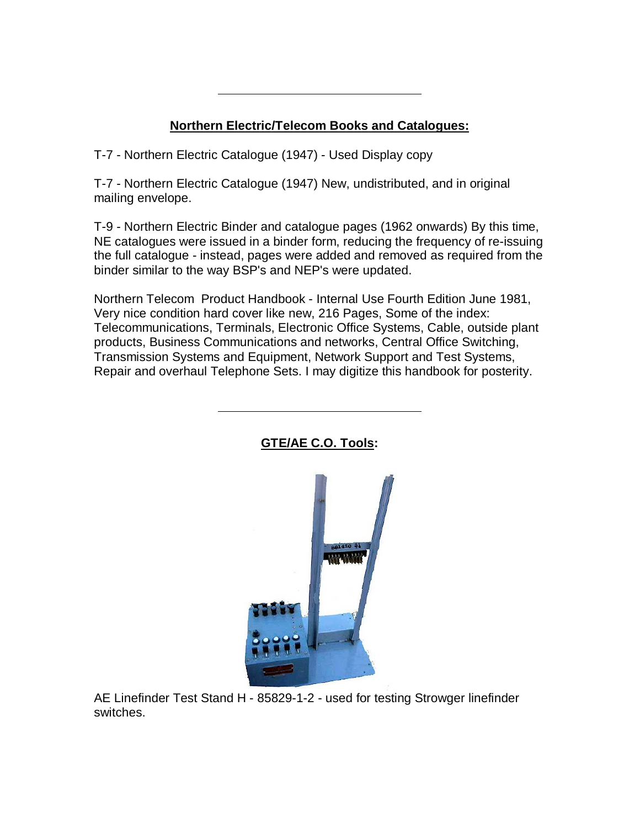# **Northern Electric/Telecom Books and Catalogues:**

T-7 - Northern Electric Catalogue (1947) - Used Display copy

T-7 - Northern Electric Catalogue (1947) New, undistributed, and in original mailing envelope.

T-9 - Northern Electric Binder and catalogue pages (1962 onwards) By this time, NE catalogues were issued in a binder form, reducing the frequency of re-issuing the full catalogue - instead, pages were added and removed as required from the binder similar to the way BSP's and NEP's were updated.

Northern Telecom Product Handbook - Internal Use Fourth Edition June 1981, Very nice condition hard cover like new, 216 Pages, Some of the index: Telecommunications, Terminals, Electronic Office Systems, Cable, outside plant products, Business Communications and networks, Central Office Switching, Transmission Systems and Equipment, Network Support and Test Systems, Repair and overhaul Telephone Sets. I may digitize this handbook for posterity.



### **GTE/AE C.O. Tools:**

AE Linefinder Test Stand H - 85829-1-2 - used for testing Strowger linefinder switches.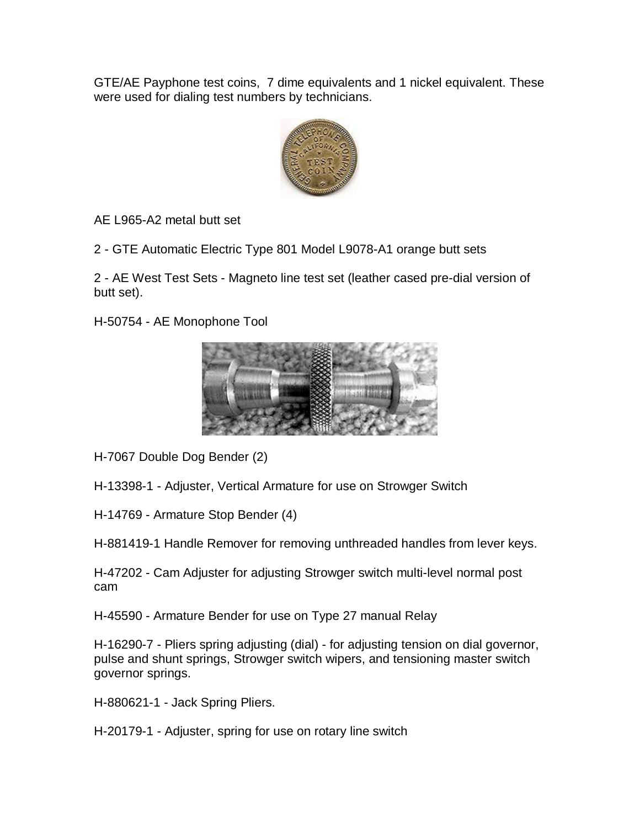GTE/AE Payphone test coins, 7 dime equivalents and 1 nickel equivalent. These were used for dialing test numbers by technicians.



AE L965-A2 metal butt set

2 - GTE Automatic Electric Type 801 Model L9078-A1 orange butt sets

2 - AE West Test Sets - Magneto line test set (leather cased pre-dial version of butt set).

H-50754 - AE Monophone Tool



H-7067 Double Dog Bender (2)

H-13398-1 - Adjuster, Vertical Armature for use on Strowger Switch

H-14769 - Armature Stop Bender (4)

H-881419-1 Handle Remover for removing unthreaded handles from lever keys.

H-47202 - Cam Adjuster for adjusting Strowger switch multi-level normal post cam

H-45590 - Armature Bender for use on Type 27 manual Relay

H-16290-7 - Pliers spring adjusting (dial) - for adjusting tension on dial governor, pulse and shunt springs, Strowger switch wipers, and tensioning master switch governor springs.

H-880621-1 - Jack Spring Pliers.

H-20179-1 - Adjuster, spring for use on rotary line switch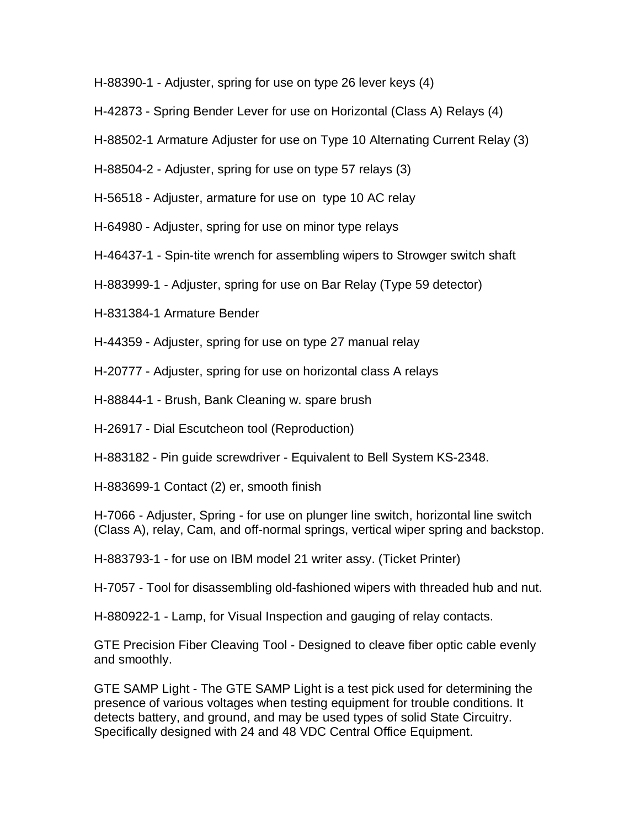H-88390-1 - Adjuster, spring for use on type 26 lever keys (4)

H-42873 - Spring Bender Lever for use on Horizontal (Class A) Relays (4)

H-88502-1 Armature Adjuster for use on Type 10 Alternating Current Relay (3)

H-88504-2 - Adjuster, spring for use on type 57 relays (3)

H-56518 - Adjuster, armature for use on type 10 AC relay

H-64980 - Adjuster, spring for use on minor type relays

H-46437-1 - Spin-tite wrench for assembling wipers to Strowger switch shaft

H-883999-1 - Adjuster, spring for use on Bar Relay (Type 59 detector)

H-831384-1 Armature Bender

H-44359 - Adjuster, spring for use on type 27 manual relay

H-20777 - Adjuster, spring for use on horizontal class A relays

H-88844-1 - Brush, Bank Cleaning w. spare brush

H-26917 - Dial Escutcheon tool (Reproduction)

H-883182 - Pin guide screwdriver - Equivalent to Bell System KS-2348.

H-883699-1 Contact (2) er, smooth finish

H-7066 - Adjuster, Spring - for use on plunger line switch, horizontal line switch (Class A), relay, Cam, and off-normal springs, vertical wiper spring and backstop.

H-883793-1 - for use on IBM model 21 writer assy. (Ticket Printer)

H-7057 - Tool for disassembling old-fashioned wipers with threaded hub and nut.

H-880922-1 - Lamp, for Visual Inspection and gauging of relay contacts.

GTE Precision Fiber Cleaving Tool - Designed to cleave fiber optic cable evenly and smoothly.

GTE SAMP Light - The GTE SAMP Light is a test pick used for determining the presence of various voltages when testing equipment for trouble conditions. It detects battery, and ground, and may be used types of solid State Circuitry. Specifically designed with 24 and 48 VDC Central Office Equipment.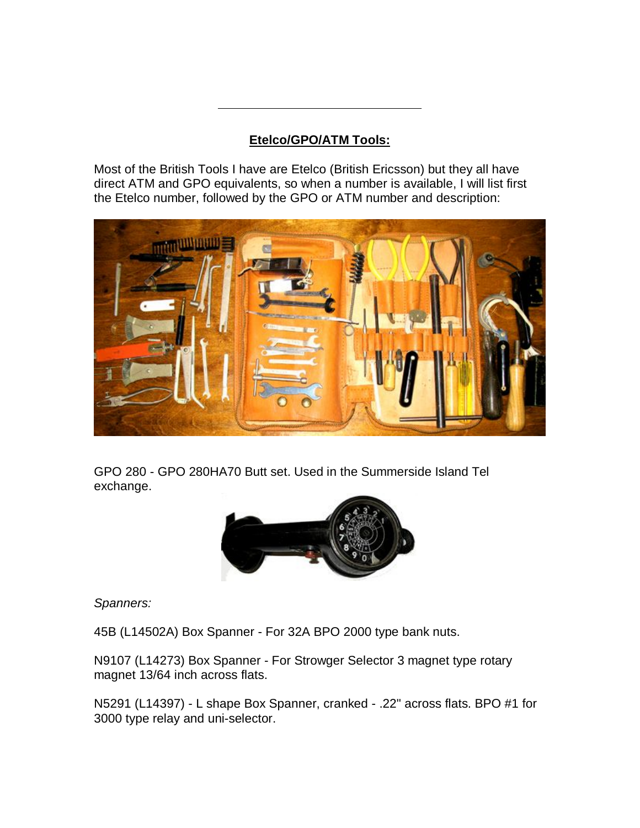## **Etelco/GPO/ATM Tools:**

Most of the British Tools I have are Etelco (British Ericsson) but they all have direct ATM and GPO equivalents, so when a number is available, I will list first the Etelco number, followed by the GPO or ATM number and description:



GPO 280 - GPO 280HA70 Butt set. Used in the Summerside Island Tel exchange.



*Spanners:*

45B (L14502A) Box Spanner - For 32A BPO 2000 type bank nuts.

N9107 (L14273) Box Spanner - For Strowger Selector 3 magnet type rotary magnet 13/64 inch across flats.

N5291 (L14397) - L shape Box Spanner, cranked - .22" across flats. BPO #1 for 3000 type relay and uni-selector.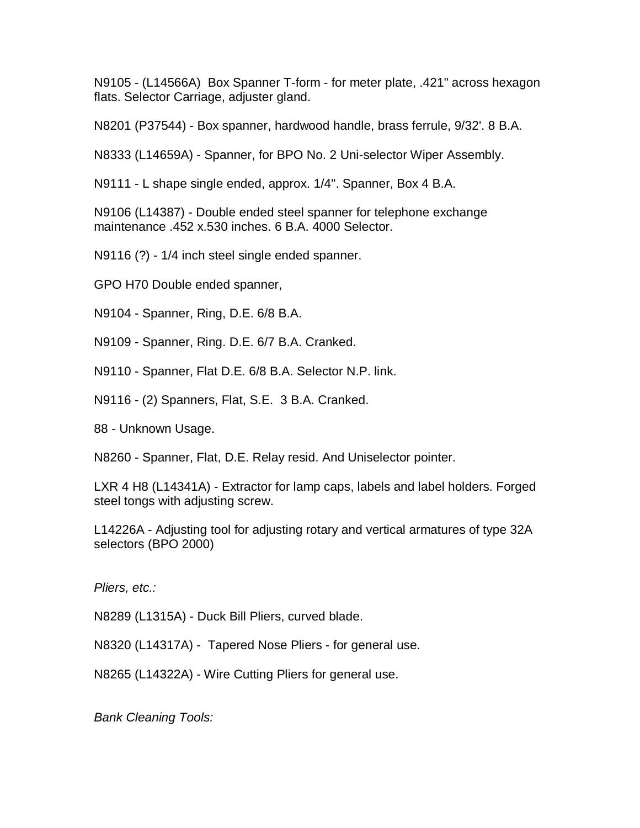N9105 - (L14566A) Box Spanner T-form - for meter plate, .421" across hexagon flats. Selector Carriage, adjuster gland.

N8201 (P37544) - Box spanner, hardwood handle, brass ferrule, 9/32'. 8 B.A.

N8333 (L14659A) - Spanner, for BPO No. 2 Uni-selector Wiper Assembly.

N9111 - L shape single ended, approx. 1/4". Spanner, Box 4 B.A.

N9106 (L14387) - Double ended steel spanner for telephone exchange maintenance .452 x.530 inches. 6 B.A. 4000 Selector.

N9116 (?) - 1/4 inch steel single ended spanner.

GPO H70 Double ended spanner,

N9104 - Spanner, Ring, D.E. 6/8 B.A.

N9109 - Spanner, Ring. D.E. 6/7 B.A. Cranked.

N9110 - Spanner, Flat D.E. 6/8 B.A. Selector N.P. link.

N9116 - (2) Spanners, Flat, S.E. 3 B.A. Cranked.

88 - Unknown Usage.

N8260 - Spanner, Flat, D.E. Relay resid. And Uniselector pointer.

LXR 4 H8 (L14341A) - Extractor for lamp caps, labels and label holders. Forged steel tongs with adjusting screw.

L14226A - Adjusting tool for adjusting rotary and vertical armatures of type 32A selectors (BPO 2000)

*Pliers, etc.:*

N8289 (L1315A) - Duck Bill Pliers, curved blade.

N8320 (L14317A) - Tapered Nose Pliers - for general use.

N8265 (L14322A) - Wire Cutting Pliers for general use.

*Bank Cleaning Tools:*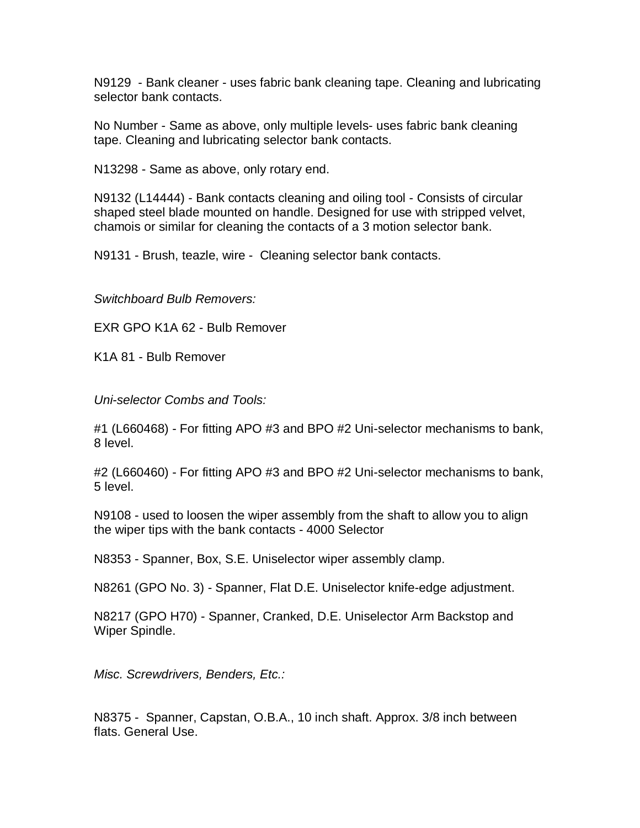N9129 - Bank cleaner - uses fabric bank cleaning tape. Cleaning and lubricating selector bank contacts.

No Number - Same as above, only multiple levels- uses fabric bank cleaning tape. Cleaning and lubricating selector bank contacts.

N13298 - Same as above, only rotary end.

N9132 (L14444) - Bank contacts cleaning and oiling tool - Consists of circular shaped steel blade mounted on handle. Designed for use with stripped velvet, chamois or similar for cleaning the contacts of a 3 motion selector bank.

N9131 - Brush, teazle, wire - Cleaning selector bank contacts.

*Switchboard Bulb Removers:*

EXR GPO K1A 62 - Bulb Remover

K1A 81 - Bulb Remover

*Uni-selector Combs and Tools:*

#1 (L660468) - For fitting APO #3 and BPO #2 Uni-selector mechanisms to bank, 8 level.

#2 (L660460) - For fitting APO #3 and BPO #2 Uni-selector mechanisms to bank, 5 level.

N9108 - used to loosen the wiper assembly from the shaft to allow you to align the wiper tips with the bank contacts - 4000 Selector

N8353 - Spanner, Box, S.E. Uniselector wiper assembly clamp.

N8261 (GPO No. 3) - Spanner, Flat D.E. Uniselector knife-edge adjustment.

N8217 (GPO H70) - Spanner, Cranked, D.E. Uniselector Arm Backstop and Wiper Spindle.

*Misc. Screwdrivers, Benders, Etc.:*

N8375 - Spanner, Capstan, O.B.A., 10 inch shaft. Approx. 3/8 inch between flats. General Use.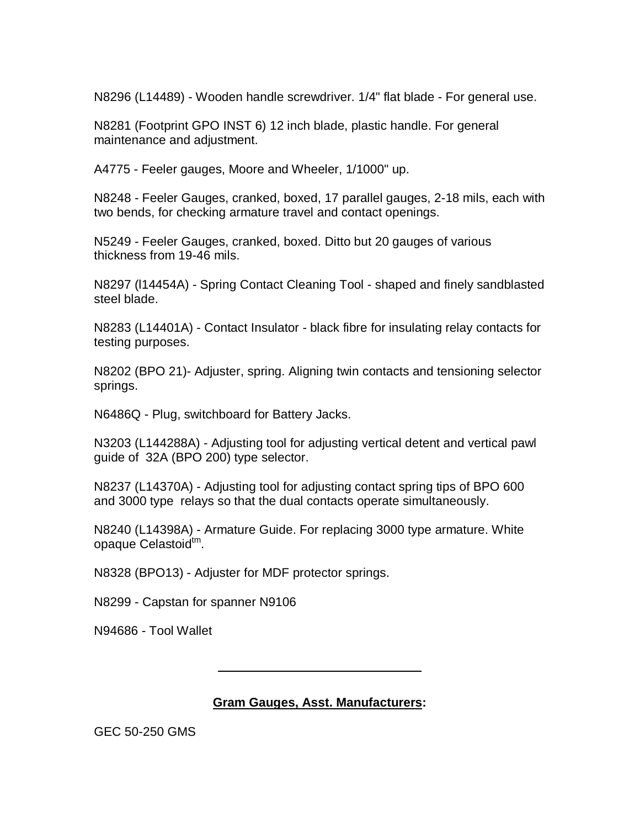N8296 (L14489) - Wooden handle screwdriver. 1/4" flat blade - For general use.

N8281 (Footprint GPO INST 6) 12 inch blade, plastic handle. For general maintenance and adjustment.

A4775 - Feeler gauges, Moore and Wheeler, 1/1000" up.

N8248 - Feeler Gauges, cranked, boxed, 17 parallel gauges, 2-18 mils, each with two bends, for checking armature travel and contact openings.

N5249 - Feeler Gauges, cranked, boxed. Ditto but 20 gauges of various thickness from 19-46 mils.

N8297 (l14454A) - Spring Contact Cleaning Tool - shaped and finely sandblasted steel blade.

N8283 (L14401A) - Contact Insulator - black fibre for insulating relay contacts for testing purposes.

N8202 (BPO 21)- Adjuster, spring. Aligning twin contacts and tensioning selector springs.

N6486Q - Plug, switchboard for Battery Jacks.

N3203 (L144288A) - Adjusting tool for adjusting vertical detent and vertical pawl guide of 32A (BPO 200) type selector.

N8237 (L14370A) - Adjusting tool for adjusting contact spring tips of BPO 600 and 3000 type relays so that the dual contacts operate simultaneously.

N8240 (L14398A) - Armature Guide. For replacing 3000 type armature. White opaque Celastoid<sup>tm</sup>.

N8328 (BPO13) - Adjuster for MDF protector springs.

N8299 - Capstan for spanner N9106

N94686 - Tool Wallet

**Gram Gauges, Asst. Manufacturers:**

GEC 50-250 GMS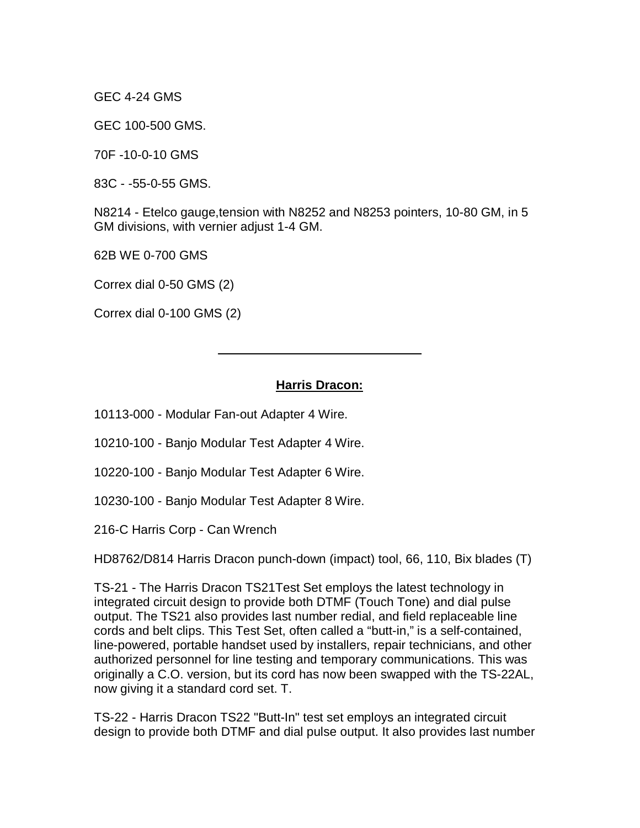GEC 4-24 GMS

GEC 100-500 GMS.

70F -10-0-10 GMS

83C - -55-0-55 GMS.

N8214 - Etelco gauge,tension with N8252 and N8253 pointers, 10-80 GM, in 5 GM divisions, with vernier adjust 1-4 GM.

62B WE 0-700 GMS

Correx dial 0-50 GMS (2)

Correx dial 0-100 GMS (2)

#### **Harris Dracon:**

10113-000 - Modular Fan-out Adapter 4 Wire.

10210-100 - Banjo Modular Test Adapter 4 Wire.

10220-100 - Banjo Modular Test Adapter 6 Wire.

10230-100 - Banjo Modular Test Adapter 8 Wire.

216-C Harris Corp - Can Wrench

HD8762/D814 Harris Dracon punch-down (impact) tool, 66, 110, Bix blades (T)

TS-21 - The Harris Dracon TS21Test Set employs the latest technology in integrated circuit design to provide both DTMF (Touch Tone) and dial pulse output. The TS21 also provides last number redial, and field replaceable line cords and belt clips. This Test Set, often called a "butt-in," is a self-contained, line-powered, portable handset used by installers, repair technicians, and other authorized personnel for line testing and temporary communications. This was originally a C.O. version, but its cord has now been swapped with the TS-22AL, now giving it a standard cord set. T.

TS-22 - Harris Dracon TS22 "Butt-In" test set employs an integrated circuit design to provide both DTMF and dial pulse output. It also provides last number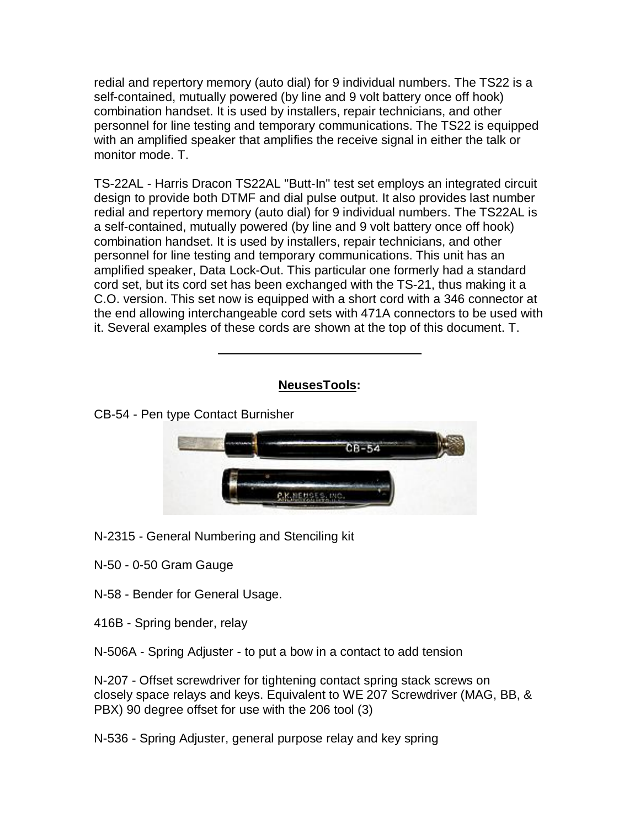redial and repertory memory (auto dial) for 9 individual numbers. The TS22 is a self-contained, mutually powered (by line and 9 volt battery once off hook) combination handset. It is used by installers, repair technicians, and other personnel for line testing and temporary communications. The TS22 is equipped with an amplified speaker that amplifies the receive signal in either the talk or monitor mode. T.

TS-22AL - Harris Dracon TS22AL "Butt-In" test set employs an integrated circuit design to provide both DTMF and dial pulse output. It also provides last number redial and repertory memory (auto dial) for 9 individual numbers. The TS22AL is a self-contained, mutually powered (by line and 9 volt battery once off hook) combination handset. It is used by installers, repair technicians, and other personnel for line testing and temporary communications. This unit has an amplified speaker, Data Lock-Out. This particular one formerly had a standard cord set, but its cord set has been exchanged with the TS-21, thus making it a C.O. version. This set now is equipped with a short cord with a 346 connector at the end allowing interchangeable cord sets with 471A connectors to be used with it. Several examples of these cords are shown at the top of this document. T.

### **NeusesTools:**

CB-54 - Pen type Contact Burnisher



N-2315 - General Numbering and Stenciling kit

N-50 - 0-50 Gram Gauge

N-58 - Bender for General Usage.

416B - Spring bender, relay

N-506A - Spring Adjuster - to put a bow in a contact to add tension

N-207 - Offset screwdriver for tightening contact spring stack screws on closely space relays and keys. Equivalent to WE 207 Screwdriver (MAG, BB, & PBX) 90 degree offset for use with the 206 tool (3)

N-536 - Spring Adjuster, general purpose relay and key spring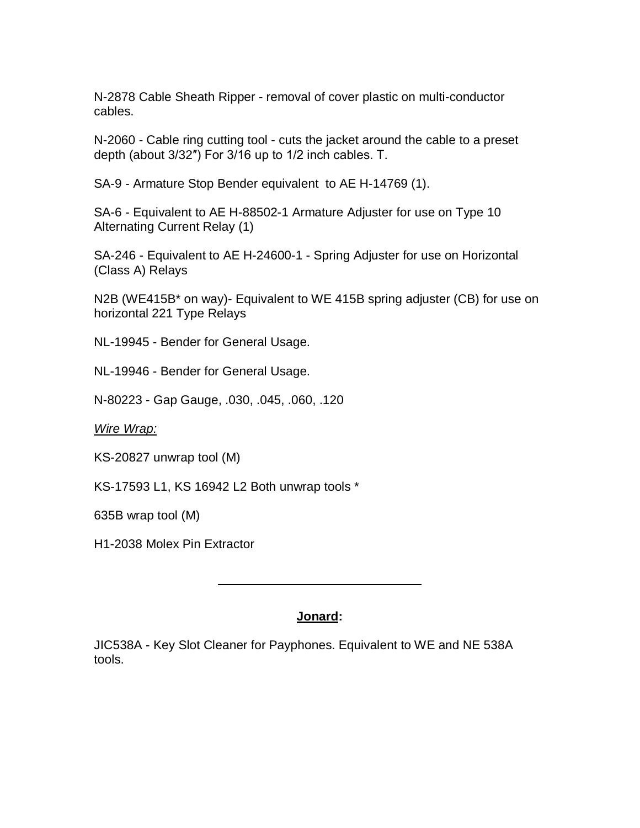N-2878 Cable Sheath Ripper - removal of cover plastic on multi-conductor cables.

N-2060 - Cable ring cutting tool - cuts the jacket around the cable to a preset depth (about 3/32″) For 3/16 up to 1/2 inch cables. T.

SA-9 - Armature Stop Bender equivalent to AE H-14769 (1).

SA-6 - Equivalent to AE H-88502-1 Armature Adjuster for use on Type 10 Alternating Current Relay (1)

SA-246 - Equivalent to AE H-24600-1 - Spring Adjuster for use on Horizontal (Class A) Relays

N2B (WE415B\* on way)- Equivalent to WE 415B spring adjuster (CB) for use on horizontal 221 Type Relays

NL-19945 - Bender for General Usage.

NL-19946 - Bender for General Usage.

N-80223 - Gap Gauge, .030, .045, .060, .120

*Wire Wrap:*

KS-20827 unwrap tool (M)

KS-17593 L1, KS 16942 L2 Both unwrap tools \*

635B wrap tool (M)

H1-2038 Molex Pin Extractor

### **Jonard:**

JIC538A - Key Slot Cleaner for Payphones. Equivalent to WE and NE 538A tools.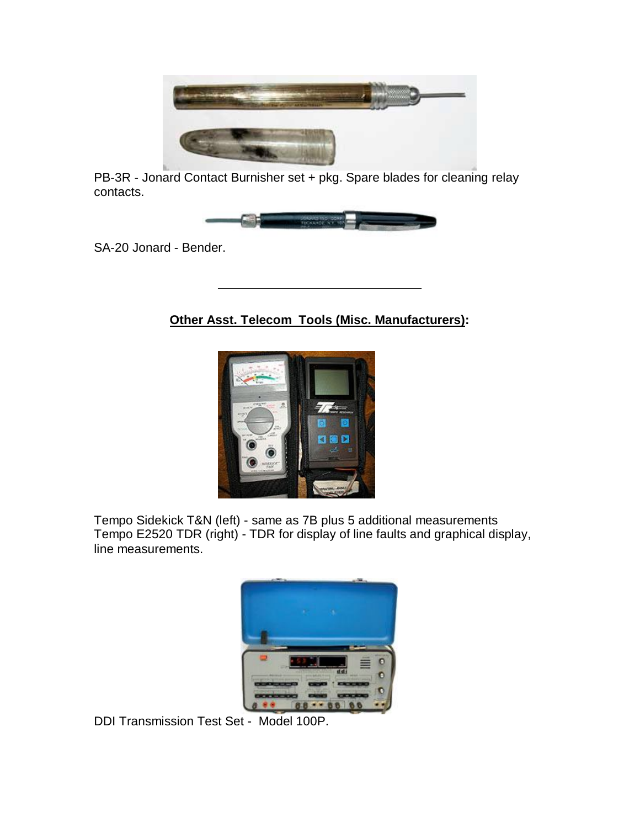

PB-3R - Jonard Contact Burnisher set + pkg. Spare blades for cleaning relay contacts.



SA-20 Jonard - Bender.

**Other Asst. Telecom Tools (Misc. Manufacturers):**



Tempo Sidekick T&N (left) - same as 7B plus 5 additional measurements Tempo E2520 TDR (right) - TDR for display of line faults and graphical display, line measurements.



DDI Transmission Test Set - Model 100P.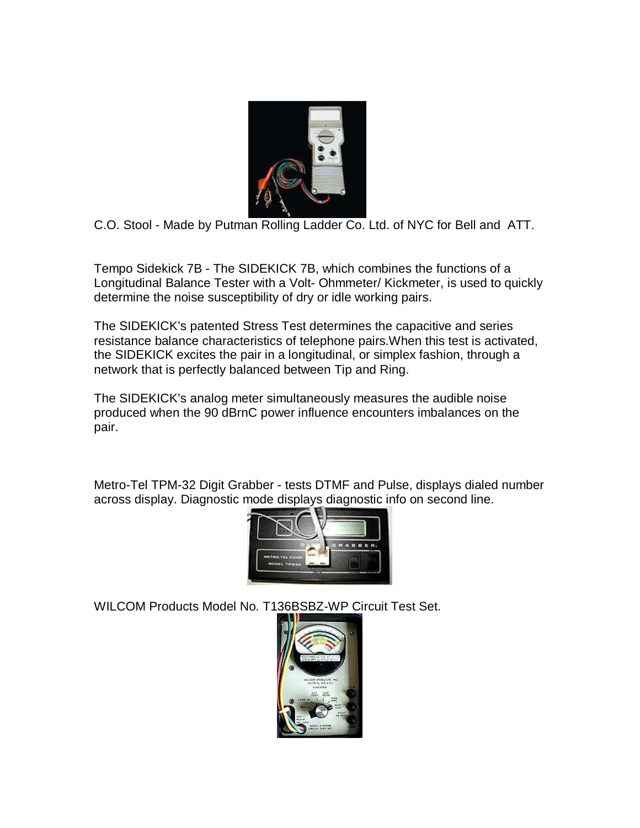

C.O. Stool - Made by Putman Rolling Ladder Co. Ltd. of NYC for Bell and ATT.

Tempo Sidekick 7B - The SIDEKICK 7B, which combines the functions of a Longitudinal Balance Tester with a Volt- Ohmmeter/ Kickmeter, is used to quickly determine the noise susceptibility of dry or idle working pairs.

The SIDEKICK's patented Stress Test determines the capacitive and series resistance balance characteristics of telephone pairs.When this test is activated, the SIDEKICK excites the pair in a longitudinal, or simplex fashion, through a network that is perfectly balanced between Tip and Ring.

The SIDEKICK's analog meter simultaneously measures the audible noise produced when the 90 dBrnC power influence encounters imbalances on the pair.

Metro-Tel TPM-32 Digit Grabber - tests DTMF and Pulse, displays dialed number across display. Diagnostic mode displays diagnostic info on second line.



WILCOM Products Model No. T136BSBZ-WP Circuit Test Set.

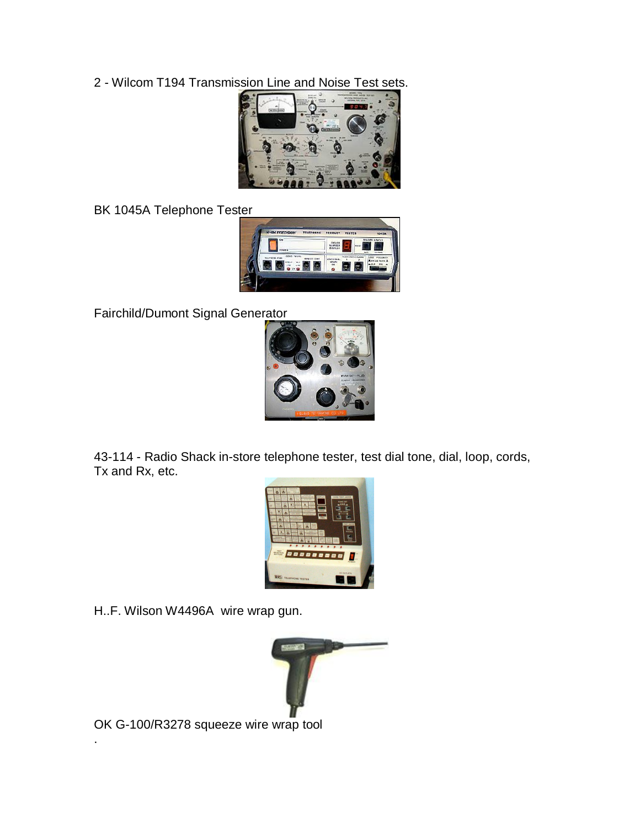2 - Wilcom T194 Transmission Line and Noise Test sets.



BK 1045A Telephone Tester



Fairchild/Dumont Signal Generator



43-114 - Radio Shack in-store telephone tester, test dial tone, dial, loop, cords, Tx and Rx, etc.



H..F. Wilson W4496A wire wrap gun.



OK G-100/R3278 squeeze wire wrap tool

.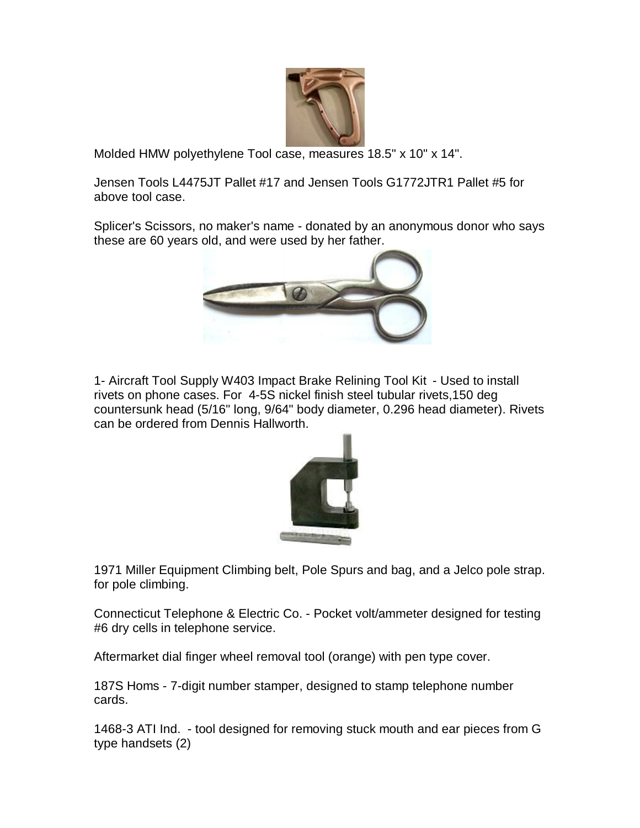

Molded HMW polyethylene Tool case, measures 18.5" x 10" x 14".

Jensen Tools L4475JT Pallet #17 and Jensen Tools G1772JTR1 Pallet #5 for above tool case.

Splicer's Scissors, no maker's name - donated by an anonymous donor who says these are 60 years old, and were used by her father.



1- Aircraft Tool Supply W403 Impact Brake Relining Tool Kit - Used to install rivets on phone cases. For 4-5S nickel finish steel tubular rivets,150 deg countersunk head (5/16" long, 9/64" body diameter, 0.296 head diameter). Rivets can be ordered from Dennis Hallworth.



1971 Miller Equipment Climbing belt, Pole Spurs and bag, and a Jelco pole strap. for pole climbing.

Connecticut Telephone & Electric Co. - Pocket volt/ammeter designed for testing #6 dry cells in telephone service.

Aftermarket dial finger wheel removal tool (orange) with pen type cover.

187S Homs - 7-digit number stamper, designed to stamp telephone number cards.

1468-3 ATI Ind. - tool designed for removing stuck mouth and ear pieces from G type handsets (2)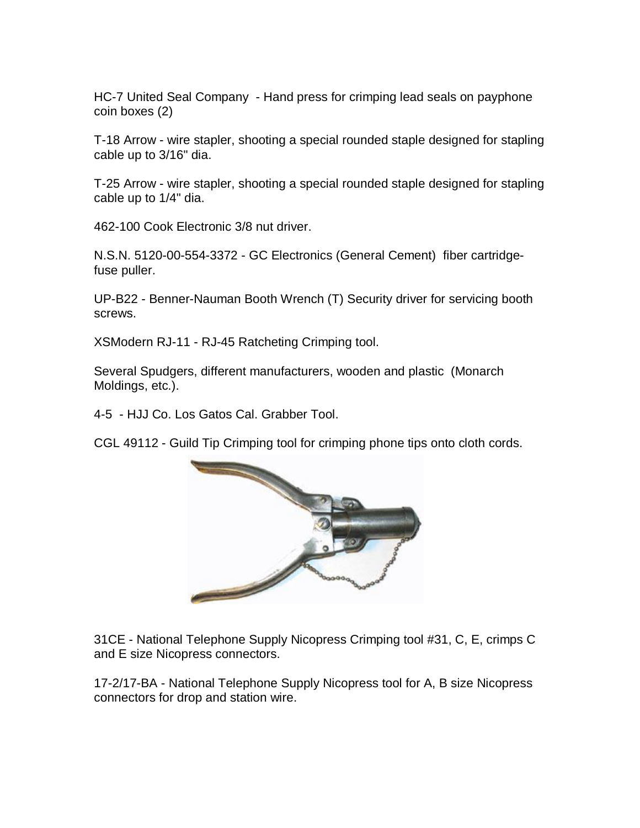HC-7 United Seal Company - Hand press for crimping lead seals on payphone coin boxes (2)

T-18 Arrow - wire stapler, shooting a special rounded staple designed for stapling cable up to 3/16" dia.

T-25 Arrow - wire stapler, shooting a special rounded staple designed for stapling cable up to 1/4" dia.

462-100 Cook Electronic 3/8 nut driver.

N.S.N. 5120-00-554-3372 - GC Electronics (General Cement) fiber cartridgefuse puller.

UP-B22 - Benner-Nauman Booth Wrench (T) Security driver for servicing booth screws.

XSModern RJ-11 - RJ-45 Ratcheting Crimping tool.

Several Spudgers, different manufacturers, wooden and plastic (Monarch Moldings, etc.).

4-5 - HJJ Co. Los Gatos Cal. Grabber Tool.

CGL 49112 - Guild Tip Crimping tool for crimping phone tips onto cloth cords.



31CE - National Telephone Supply Nicopress Crimping tool #31, C, E, crimps C and E size Nicopress connectors.

17-2/17-BA - National Telephone Supply Nicopress tool for A, B size Nicopress connectors for drop and station wire.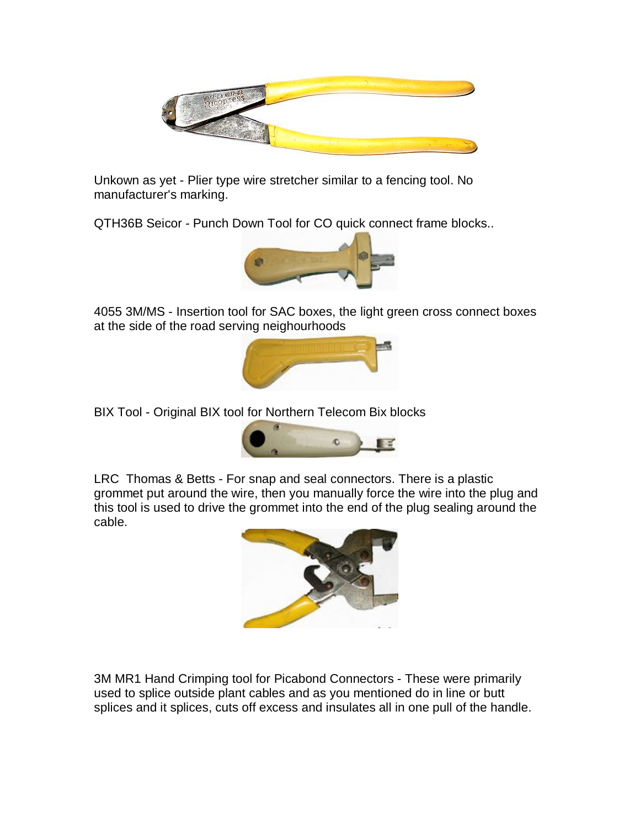

Unkown as yet - Plier type wire stretcher similar to a fencing tool. No manufacturer's marking.

QTH36B Seicor - Punch Down Tool for CO quick connect frame blocks..



4055 3M/MS - Insertion tool for SAC boxes, the light green cross connect boxes at the side of the road serving neighourhoods



BIX Tool - Original BIX tool for Northern Telecom Bix blocks



LRC Thomas & Betts - For snap and seal connectors. There is a plastic grommet put around the wire, then you manually force the wire into the plug and this tool is used to drive the grommet into the end of the plug sealing around the cable.



3M MR1 Hand Crimping tool for Picabond Connectors - These were primarily used to splice outside plant cables and as you mentioned do in line or butt splices and it splices, cuts off excess and insulates all in one pull of the handle.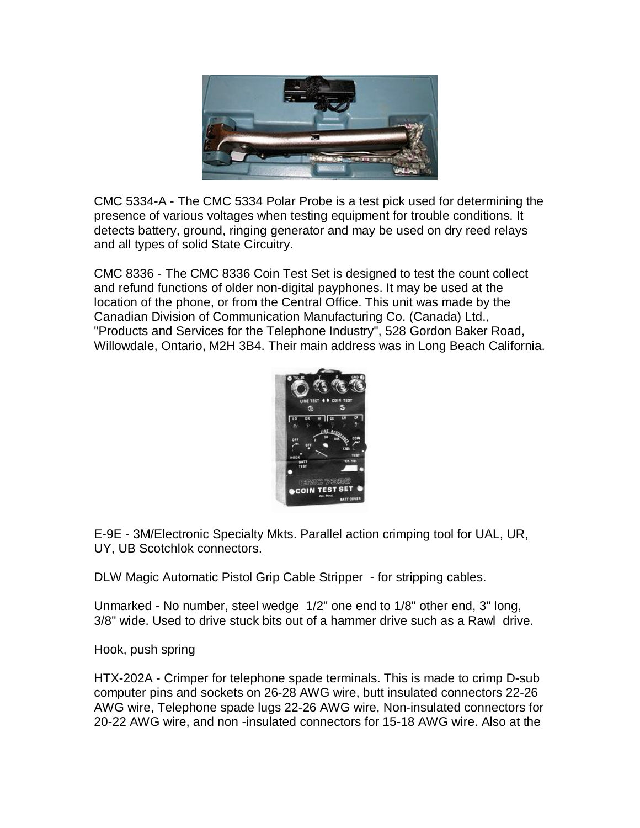

CMC 5334-A - The CMC 5334 Polar Probe is a test pick used for determining the presence of various voltages when testing equipment for trouble conditions. It detects battery, ground, ringing generator and may be used on dry reed relays and all types of solid State Circuitry.

CMC 8336 - The CMC 8336 Coin Test Set is designed to test the count collect and refund functions of older non-digital payphones. It may be used at the location of the phone, or from the Central Office. This unit was made by the Canadian Division of Communication Manufacturing Co. (Canada) Ltd., "Products and Services for the Telephone Industry", 528 Gordon Baker Road, Willowdale, Ontario, M2H 3B4. Their main address was in Long Beach California.



E-9E - 3M/Electronic Specialty Mkts. Parallel action crimping tool for UAL, UR, UY, UB Scotchlok connectors.

DLW Magic Automatic Pistol Grip Cable Stripper - for stripping cables.

Unmarked - No number, steel wedge 1/2" one end to 1/8" other end, 3" long, 3/8" wide. Used to drive stuck bits out of a hammer drive such as a Rawl drive.

Hook, push spring

HTX-202A - Crimper for telephone spade terminals. This is made to crimp D-sub computer pins and sockets on 26-28 AWG wire, butt insulated connectors 22-26 AWG wire, Telephone spade lugs 22-26 AWG wire, Non-insulated connectors for 20-22 AWG wire, and non -insulated connectors for 15-18 AWG wire. Also at the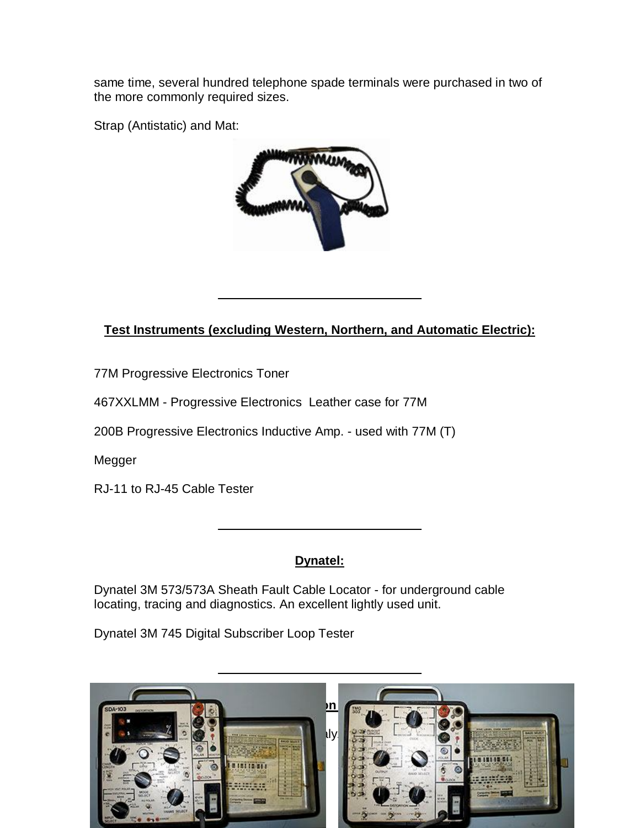same time, several hundred telephone spade terminals were purchased in two of the more commonly required sizes.

Strap (Antistatic) and Mat:



# **Test Instruments (excluding Western, Northern, and Automatic Electric):**

77M Progressive Electronics Toner

467XXLMM - Progressive Electronics Leather case for 77M

200B Progressive Electronics Inductive Amp. - used with 77M (T)

Megger

RJ-11 to RJ-45 Cable Tester

### **Dynatel:**

Dynatel 3M 573/573A Sheath Fault Cable Locator - for underground cable locating, tracing and diagnostics. An excellent lightly used unit.

Dynatel 3M 745 Digital Subscriber Loop Tester

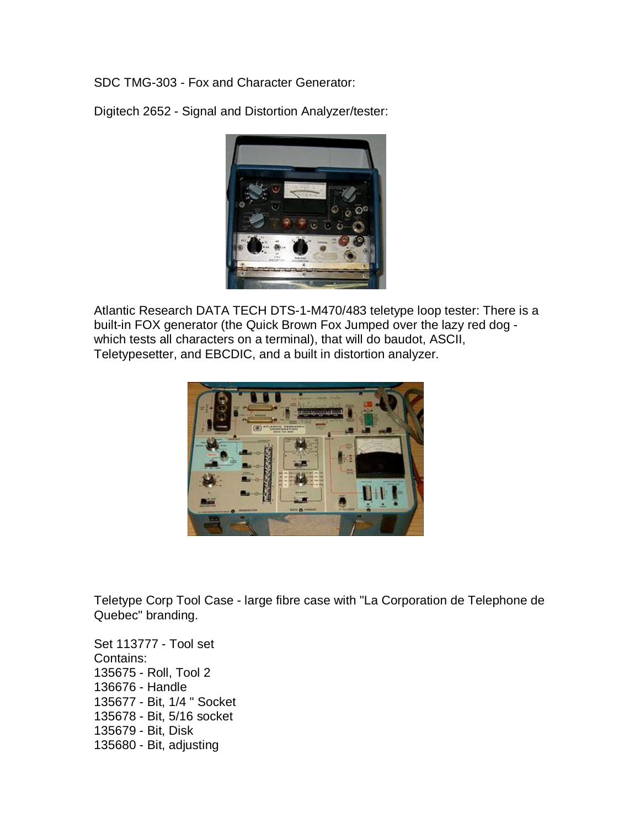SDC TMG-303 - Fox and Character Generator:

Digitech 2652 - Signal and Distortion Analyzer/tester:



Atlantic Research DATA TECH DTS-1-M470/483 teletype loop tester: There is a built-in FOX generator (the Quick Brown Fox Jumped over the lazy red dog which tests all characters on a terminal), that will do baudot, ASCII, Teletypesetter, and EBCDIC, and a built in distortion analyzer.



Teletype Corp Tool Case - large fibre case with "La Corporation de Telephone de Quebec" branding.

Set 113777 - Tool set Contains: 135675 - Roll, Tool 2 136676 - Handle 135677 - Bit, 1/4 " Socket 135678 - Bit, 5/16 socket 135679 - Bit, Disk 135680 - Bit, adjusting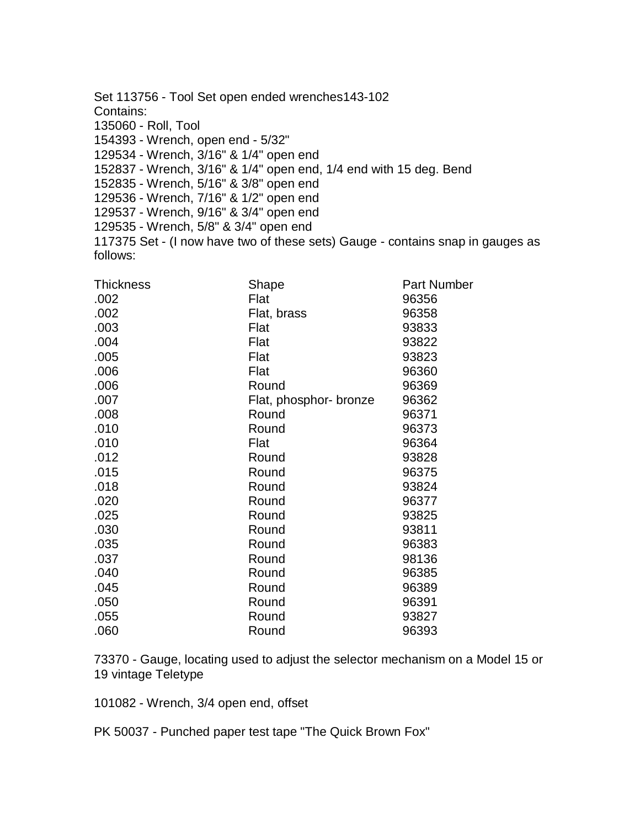Set 113756 - Tool Set open ended wrenches143-102 Contains: 135060 - Roll, Tool 154393 - Wrench, open end - 5/32" 129534 - Wrench, 3/16" & 1/4" open end 152837 - Wrench, 3/16" & 1/4" open end, 1/4 end with 15 deg. Bend 152835 - Wrench, 5/16" & 3/8" open end 129536 - Wrench, 7/16" & 1/2" open end 129537 - Wrench, 9/16" & 3/4" open end 129535 - Wrench, 5/8" & 3/4" open end 117375 Set - (I now have two of these sets) Gauge - contains snap in gauges as follows:

| <b>Thickness</b> | Shape                  | Part Number |
|------------------|------------------------|-------------|
| .002             | Flat                   | 96356       |
| .002             | Flat, brass            | 96358       |
| .003             | Flat                   | 93833       |
| .004             | Flat                   | 93822       |
| .005             | Flat                   | 93823       |
| .006             | Flat                   | 96360       |
| .006             | Round                  | 96369       |
| .007             | Flat, phosphor- bronze | 96362       |
| .008             | Round                  | 96371       |
| .010             | Round                  | 96373       |
| .010             | Flat                   | 96364       |
| .012             | Round                  | 93828       |
| .015             | Round                  | 96375       |
| .018             | Round                  | 93824       |
| .020             | Round                  | 96377       |
| .025             | Round                  | 93825       |
| .030             | Round                  | 93811       |
| .035             | Round                  | 96383       |
| .037             | Round                  | 98136       |
| .040             | Round                  | 96385       |
| .045             | Round                  | 96389       |
| .050             | Round                  | 96391       |
| .055             | Round                  | 93827       |
| .060             | Round                  | 96393       |

73370 - Gauge, locating used to adjust the selector mechanism on a Model 15 or 19 vintage Teletype

101082 - Wrench, 3/4 open end, offset

PK 50037 - Punched paper test tape "The Quick Brown Fox"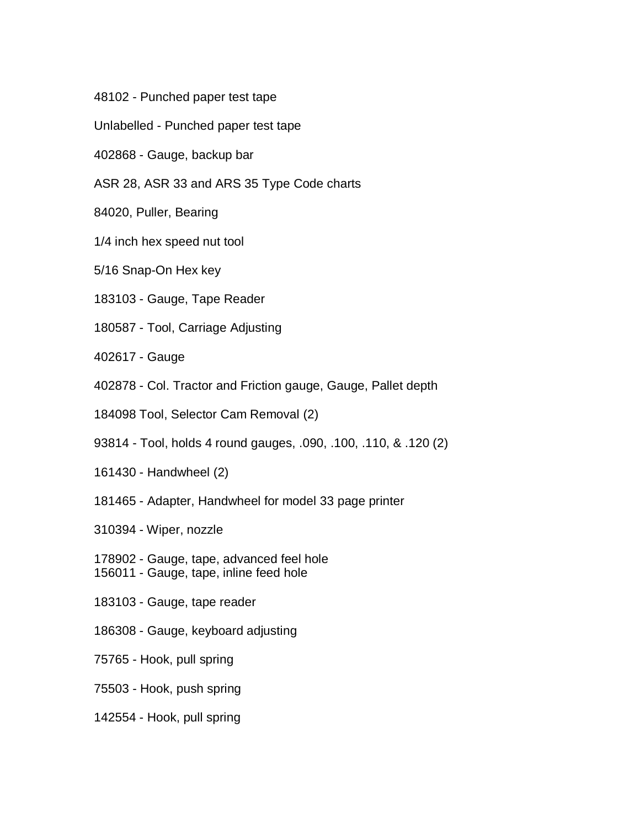- 48102 Punched paper test tape
- Unlabelled Punched paper test tape
- 402868 Gauge, backup bar
- ASR 28, ASR 33 and ARS 35 Type Code charts
- 84020, Puller, Bearing
- 1/4 inch hex speed nut tool
- 5/16 Snap-On Hex key
- 183103 Gauge, Tape Reader
- 180587 Tool, Carriage Adjusting
- 402617 Gauge
- 402878 Col. Tractor and Friction gauge, Gauge, Pallet depth
- 184098 Tool, Selector Cam Removal (2)
- 93814 Tool, holds 4 round gauges, .090, .100, .110, & .120 (2)
- 161430 Handwheel (2)
- 181465 Adapter, Handwheel for model 33 page printer
- 310394 Wiper, nozzle
- 178902 Gauge, tape, advanced feel hole
- 156011 Gauge, tape, inline feed hole
- 183103 Gauge, tape reader
- 186308 Gauge, keyboard adjusting
- 75765 Hook, pull spring
- 75503 Hook, push spring
- 142554 Hook, pull spring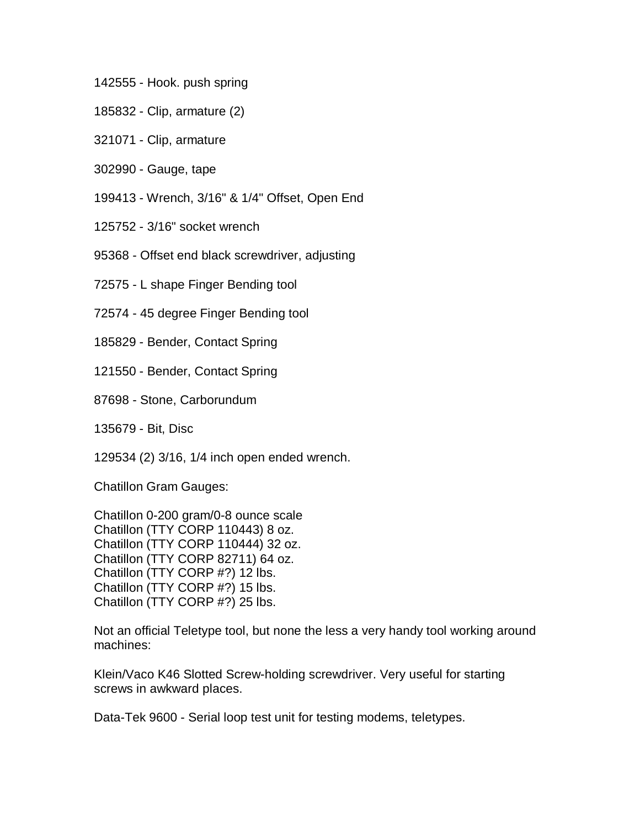- 142555 Hook. push spring
- 185832 Clip, armature (2)
- 321071 Clip, armature
- 302990 Gauge, tape
- 199413 Wrench, 3/16" & 1/4" Offset, Open End
- 125752 3/16" socket wrench
- 95368 Offset end black screwdriver, adjusting
- 72575 L shape Finger Bending tool
- 72574 45 degree Finger Bending tool
- 185829 Bender, Contact Spring
- 121550 Bender, Contact Spring
- 87698 Stone, Carborundum
- 135679 Bit, Disc
- 129534 (2) 3/16, 1/4 inch open ended wrench.
- Chatillon Gram Gauges:
- Chatillon 0-200 gram/0-8 ounce scale Chatillon (TTY CORP 110443) 8 oz. Chatillon (TTY CORP 110444) 32 oz. Chatillon (TTY CORP 82711) 64 oz. Chatillon (TTY CORP #?) 12 lbs. Chatillon (TTY CORP #?) 15 lbs. Chatillon (TTY CORP #?) 25 lbs.
- Not an official Teletype tool, but none the less a very handy tool working around machines:
- Klein/Vaco K46 Slotted Screw-holding screwdriver. Very useful for starting screws in awkward places.
- Data-Tek 9600 Serial loop test unit for testing modems, teletypes.